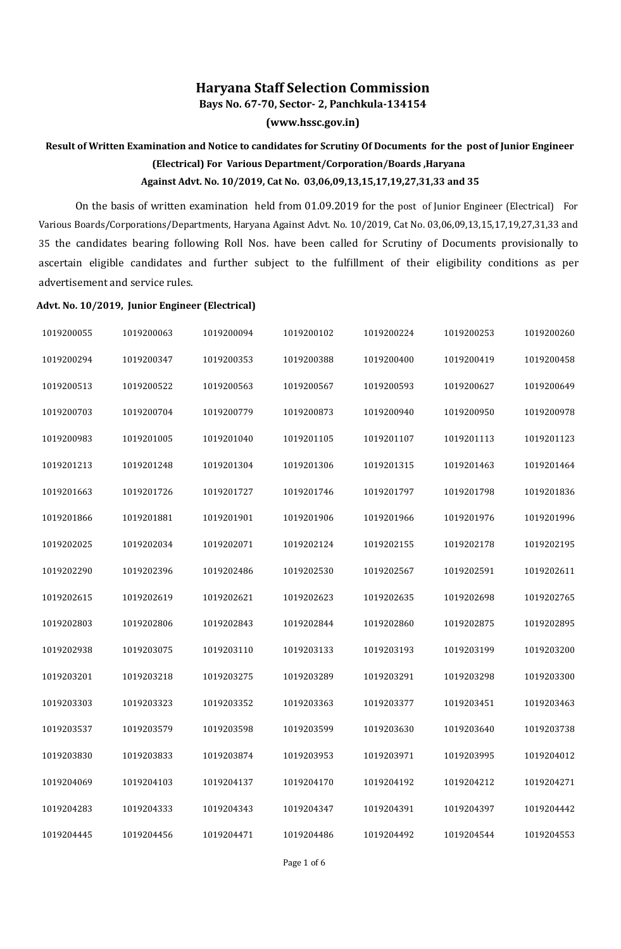## **Haryana Staff Selection Commission**

**Bays No. 67-70, Sector- 2, Panchkula-134154**

**(www.hssc.gov.in)**

## **Result of Written Examination and Notice to candidates for Scrutiny Of Documents for the post of Junior Engineer (Electrical) For Various Department/Corporation/Boards ,Haryana Against Advt. No. 10/2019, Cat No. 03,06,09,13,15,17,19,27,31,33 and 35**

On the basis of written examination held from 01.09.2019 for the post of Junior Engineer (Electrical) For Various Boards/Corporations/Departments, Haryana Against Advt. No. 10/2019, Cat No. 03,06,09,13,15,17,19,27,31,33 and 35 the candidates bearing following Roll Nos. have been called for Scrutiny of Documents provisionally to ascertain eligible candidates and further subject to the fulfillment of their eligibility conditions as per advertisement and service rules.

## **Advt. No. 10/2019, Junior Engineer (Electrical)**

| 1019200055 | 1019200063 | 1019200094 | 1019200102 | 1019200224 | 1019200253 | 1019200260 |
|------------|------------|------------|------------|------------|------------|------------|
| 1019200294 | 1019200347 | 1019200353 | 1019200388 | 1019200400 | 1019200419 | 1019200458 |
| 1019200513 | 1019200522 | 1019200563 | 1019200567 | 1019200593 | 1019200627 | 1019200649 |
| 1019200703 | 1019200704 | 1019200779 | 1019200873 | 1019200940 | 1019200950 | 1019200978 |
| 1019200983 | 1019201005 | 1019201040 | 1019201105 | 1019201107 | 1019201113 | 1019201123 |
| 1019201213 | 1019201248 | 1019201304 | 1019201306 | 1019201315 | 1019201463 | 1019201464 |
| 1019201663 | 1019201726 | 1019201727 | 1019201746 | 1019201797 | 1019201798 | 1019201836 |
| 1019201866 | 1019201881 | 1019201901 | 1019201906 | 1019201966 | 1019201976 | 1019201996 |
| 1019202025 | 1019202034 | 1019202071 | 1019202124 | 1019202155 | 1019202178 | 1019202195 |
| 1019202290 | 1019202396 | 1019202486 | 1019202530 | 1019202567 | 1019202591 | 1019202611 |
| 1019202615 | 1019202619 | 1019202621 | 1019202623 | 1019202635 | 1019202698 | 1019202765 |
| 1019202803 | 1019202806 | 1019202843 | 1019202844 | 1019202860 | 1019202875 | 1019202895 |
| 1019202938 | 1019203075 | 1019203110 | 1019203133 | 1019203193 | 1019203199 | 1019203200 |
| 1019203201 | 1019203218 | 1019203275 | 1019203289 | 1019203291 | 1019203298 | 1019203300 |
| 1019203303 | 1019203323 | 1019203352 | 1019203363 | 1019203377 | 1019203451 | 1019203463 |
| 1019203537 | 1019203579 | 1019203598 | 1019203599 | 1019203630 | 1019203640 | 1019203738 |
| 1019203830 | 1019203833 | 1019203874 | 1019203953 | 1019203971 | 1019203995 | 1019204012 |
| 1019204069 | 1019204103 | 1019204137 | 1019204170 | 1019204192 | 1019204212 | 1019204271 |
| 1019204283 | 1019204333 | 1019204343 | 1019204347 | 1019204391 | 1019204397 | 1019204442 |
| 1019204445 | 1019204456 | 1019204471 | 1019204486 | 1019204492 | 1019204544 | 1019204553 |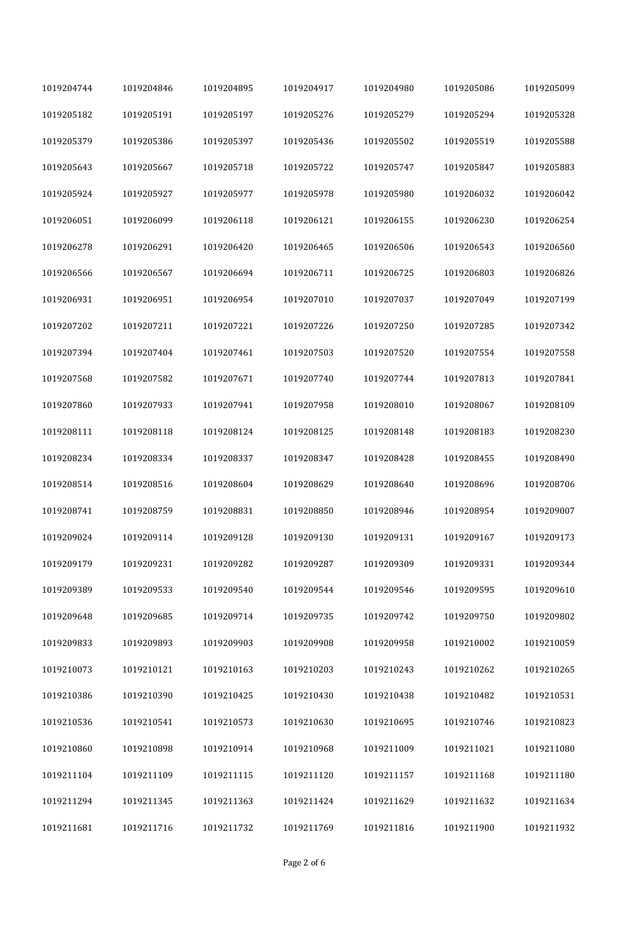| 1019204744 | 1019204846 | 1019204895 | 1019204917 | 1019204980 | 1019205086 | 1019205099 |
|------------|------------|------------|------------|------------|------------|------------|
| 1019205182 | 1019205191 | 1019205197 | 1019205276 | 1019205279 | 1019205294 | 1019205328 |
| 1019205379 | 1019205386 | 1019205397 | 1019205436 | 1019205502 | 1019205519 | 1019205588 |
| 1019205643 | 1019205667 | 1019205718 | 1019205722 | 1019205747 | 1019205847 | 1019205883 |
| 1019205924 | 1019205927 | 1019205977 | 1019205978 | 1019205980 | 1019206032 | 1019206042 |
| 1019206051 | 1019206099 | 1019206118 | 1019206121 | 1019206155 | 1019206230 | 1019206254 |
| 1019206278 | 1019206291 | 1019206420 | 1019206465 | 1019206506 | 1019206543 | 1019206560 |
| 1019206566 | 1019206567 | 1019206694 | 1019206711 | 1019206725 | 1019206803 | 1019206826 |
| 1019206931 | 1019206951 | 1019206954 | 1019207010 | 1019207037 | 1019207049 | 1019207199 |
| 1019207202 | 1019207211 | 1019207221 | 1019207226 | 1019207250 | 1019207285 | 1019207342 |
| 1019207394 | 1019207404 | 1019207461 | 1019207503 | 1019207520 | 1019207554 | 1019207558 |
| 1019207568 | 1019207582 | 1019207671 | 1019207740 | 1019207744 | 1019207813 | 1019207841 |
| 1019207860 | 1019207933 | 1019207941 | 1019207958 | 1019208010 | 1019208067 | 1019208109 |
| 1019208111 | 1019208118 | 1019208124 | 1019208125 | 1019208148 | 1019208183 | 1019208230 |
| 1019208234 | 1019208334 | 1019208337 | 1019208347 | 1019208428 | 1019208455 | 1019208490 |
| 1019208514 | 1019208516 | 1019208604 | 1019208629 | 1019208640 | 1019208696 | 1019208706 |
| 1019208741 | 1019208759 | 1019208831 | 1019208850 | 1019208946 | 1019208954 | 1019209007 |
| 1019209024 | 1019209114 | 1019209128 | 1019209130 | 1019209131 | 1019209167 | 1019209173 |
| 1019209179 | 1019209231 | 1019209282 | 1019209287 | 1019209309 | 1019209331 | 1019209344 |
| 1019209389 | 1019209533 | 1019209540 | 1019209544 | 1019209546 | 1019209595 | 1019209610 |
| 1019209648 | 1019209685 | 1019209714 | 1019209735 | 1019209742 | 1019209750 | 1019209802 |
| 1019209833 | 1019209893 | 1019209903 | 1019209908 | 1019209958 | 1019210002 | 1019210059 |
| 1019210073 | 1019210121 | 1019210163 | 1019210203 | 1019210243 | 1019210262 | 1019210265 |
| 1019210386 | 1019210390 | 1019210425 | 1019210430 | 1019210438 | 1019210482 | 1019210531 |
| 1019210536 | 1019210541 | 1019210573 | 1019210630 | 1019210695 | 1019210746 | 1019210823 |
| 1019210860 | 1019210898 | 1019210914 | 1019210968 | 1019211009 | 1019211021 | 1019211080 |
| 1019211104 | 1019211109 | 1019211115 | 1019211120 | 1019211157 | 1019211168 | 1019211180 |
| 1019211294 | 1019211345 | 1019211363 | 1019211424 | 1019211629 | 1019211632 | 1019211634 |
| 1019211681 | 1019211716 | 1019211732 | 1019211769 | 1019211816 | 1019211900 | 1019211932 |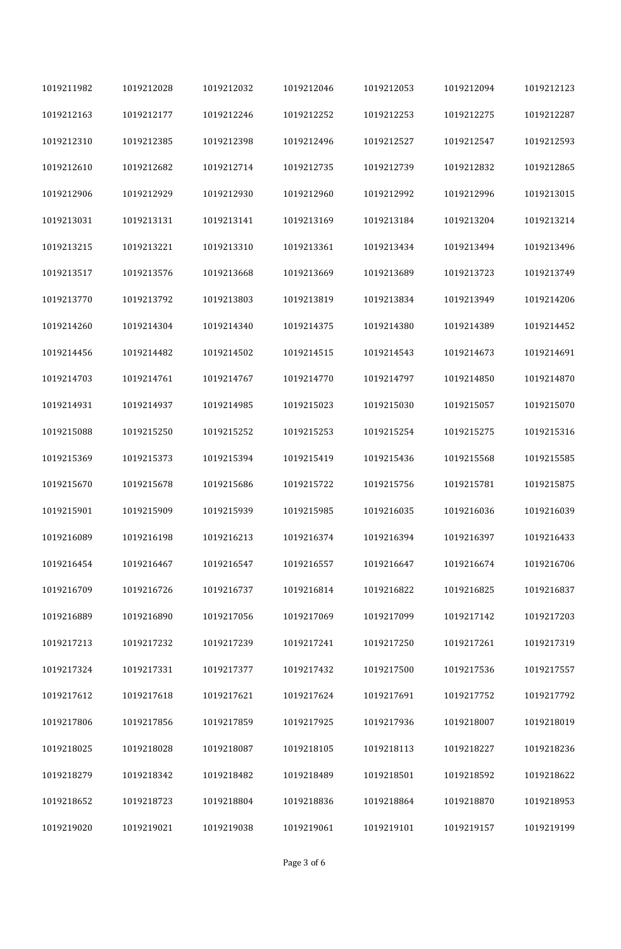| 1019211982 | 1019212028 | 1019212032 | 1019212046 | 1019212053 | 1019212094 | 1019212123 |
|------------|------------|------------|------------|------------|------------|------------|
| 1019212163 | 1019212177 | 1019212246 | 1019212252 | 1019212253 | 1019212275 | 1019212287 |
| 1019212310 | 1019212385 | 1019212398 | 1019212496 | 1019212527 | 1019212547 | 1019212593 |
| 1019212610 | 1019212682 | 1019212714 | 1019212735 | 1019212739 | 1019212832 | 1019212865 |
| 1019212906 | 1019212929 | 1019212930 | 1019212960 | 1019212992 | 1019212996 | 1019213015 |
| 1019213031 | 1019213131 | 1019213141 | 1019213169 | 1019213184 | 1019213204 | 1019213214 |
| 1019213215 | 1019213221 | 1019213310 | 1019213361 | 1019213434 | 1019213494 | 1019213496 |
| 1019213517 | 1019213576 | 1019213668 | 1019213669 | 1019213689 | 1019213723 | 1019213749 |
| 1019213770 | 1019213792 | 1019213803 | 1019213819 | 1019213834 | 1019213949 | 1019214206 |
| 1019214260 | 1019214304 | 1019214340 | 1019214375 | 1019214380 | 1019214389 | 1019214452 |
| 1019214456 | 1019214482 | 1019214502 | 1019214515 | 1019214543 | 1019214673 | 1019214691 |
| 1019214703 | 1019214761 | 1019214767 | 1019214770 | 1019214797 | 1019214850 | 1019214870 |
| 1019214931 | 1019214937 | 1019214985 | 1019215023 | 1019215030 | 1019215057 | 1019215070 |
| 1019215088 | 1019215250 | 1019215252 | 1019215253 | 1019215254 | 1019215275 | 1019215316 |
| 1019215369 | 1019215373 | 1019215394 | 1019215419 | 1019215436 | 1019215568 | 1019215585 |
| 1019215670 | 1019215678 | 1019215686 | 1019215722 | 1019215756 | 1019215781 | 1019215875 |
| 1019215901 | 1019215909 | 1019215939 | 1019215985 | 1019216035 | 1019216036 | 1019216039 |
| 1019216089 | 1019216198 | 1019216213 | 1019216374 | 1019216394 | 1019216397 | 1019216433 |
| 1019216454 | 1019216467 | 1019216547 | 1019216557 | 1019216647 | 1019216674 | 1019216706 |
| 1019216709 | 1019216726 | 1019216737 | 1019216814 | 1019216822 | 1019216825 | 1019216837 |
| 1019216889 | 1019216890 | 1019217056 | 1019217069 | 1019217099 | 1019217142 | 1019217203 |
| 1019217213 | 1019217232 | 1019217239 | 1019217241 | 1019217250 | 1019217261 | 1019217319 |
| 1019217324 | 1019217331 | 1019217377 | 1019217432 | 1019217500 | 1019217536 | 1019217557 |
| 1019217612 | 1019217618 | 1019217621 | 1019217624 | 1019217691 | 1019217752 | 1019217792 |
| 1019217806 | 1019217856 | 1019217859 | 1019217925 | 1019217936 | 1019218007 | 1019218019 |
| 1019218025 | 1019218028 | 1019218087 | 1019218105 | 1019218113 | 1019218227 | 1019218236 |
| 1019218279 | 1019218342 | 1019218482 | 1019218489 | 1019218501 | 1019218592 | 1019218622 |
| 1019218652 | 1019218723 | 1019218804 | 1019218836 | 1019218864 | 1019218870 | 1019218953 |
| 1019219020 | 1019219021 | 1019219038 | 1019219061 | 1019219101 | 1019219157 | 1019219199 |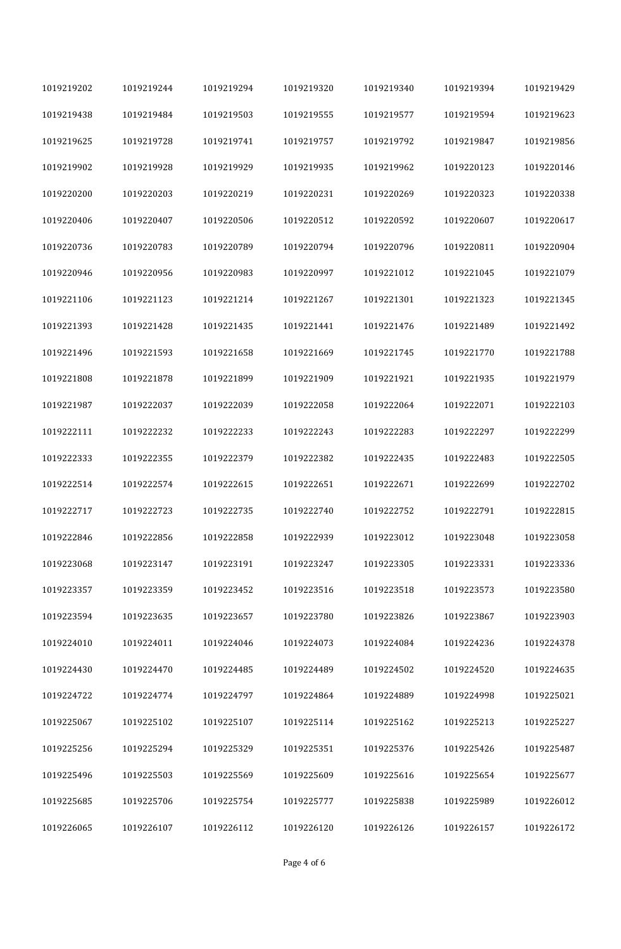| 1019219202 | 1019219244 | 1019219294 | 1019219320 | 1019219340 | 1019219394 | 1019219429 |
|------------|------------|------------|------------|------------|------------|------------|
| 1019219438 | 1019219484 | 1019219503 | 1019219555 | 1019219577 | 1019219594 | 1019219623 |
| 1019219625 | 1019219728 | 1019219741 | 1019219757 | 1019219792 | 1019219847 | 1019219856 |
| 1019219902 | 1019219928 | 1019219929 | 1019219935 | 1019219962 | 1019220123 | 1019220146 |
| 1019220200 | 1019220203 | 1019220219 | 1019220231 | 1019220269 | 1019220323 | 1019220338 |
| 1019220406 | 1019220407 | 1019220506 | 1019220512 | 1019220592 | 1019220607 | 1019220617 |
| 1019220736 | 1019220783 | 1019220789 | 1019220794 | 1019220796 | 1019220811 | 1019220904 |
| 1019220946 | 1019220956 | 1019220983 | 1019220997 | 1019221012 | 1019221045 | 1019221079 |
| 1019221106 | 1019221123 | 1019221214 | 1019221267 | 1019221301 | 1019221323 | 1019221345 |
| 1019221393 | 1019221428 | 1019221435 | 1019221441 | 1019221476 | 1019221489 | 1019221492 |
| 1019221496 | 1019221593 | 1019221658 | 1019221669 | 1019221745 | 1019221770 | 1019221788 |
| 1019221808 | 1019221878 | 1019221899 | 1019221909 | 1019221921 | 1019221935 | 1019221979 |
| 1019221987 | 1019222037 | 1019222039 | 1019222058 | 1019222064 | 1019222071 | 1019222103 |
| 1019222111 | 1019222232 | 1019222233 | 1019222243 | 1019222283 | 1019222297 | 1019222299 |
| 1019222333 | 1019222355 | 1019222379 | 1019222382 | 1019222435 | 1019222483 | 1019222505 |
| 1019222514 | 1019222574 | 1019222615 | 1019222651 | 1019222671 | 1019222699 | 1019222702 |
| 1019222717 | 1019222723 | 1019222735 | 1019222740 | 1019222752 | 1019222791 | 1019222815 |
| 1019222846 | 1019222856 | 1019222858 | 1019222939 | 1019223012 | 1019223048 | 1019223058 |
| 1019223068 | 1019223147 | 1019223191 | 1019223247 | 1019223305 | 1019223331 | 1019223336 |
| 1019223357 | 1019223359 | 1019223452 | 1019223516 | 1019223518 | 1019223573 | 1019223580 |
| 1019223594 | 1019223635 | 1019223657 | 1019223780 | 1019223826 | 1019223867 | 1019223903 |
| 1019224010 | 1019224011 | 1019224046 | 1019224073 | 1019224084 | 1019224236 | 1019224378 |
| 1019224430 | 1019224470 | 1019224485 | 1019224489 | 1019224502 | 1019224520 | 1019224635 |
| 1019224722 | 1019224774 | 1019224797 | 1019224864 | 1019224889 | 1019224998 | 1019225021 |
| 1019225067 | 1019225102 | 1019225107 | 1019225114 | 1019225162 | 1019225213 | 1019225227 |
| 1019225256 | 1019225294 | 1019225329 | 1019225351 | 1019225376 | 1019225426 | 1019225487 |
| 1019225496 | 1019225503 | 1019225569 | 1019225609 | 1019225616 | 1019225654 | 1019225677 |
| 1019225685 | 1019225706 | 1019225754 | 1019225777 | 1019225838 | 1019225989 | 1019226012 |
| 1019226065 | 1019226107 | 1019226112 | 1019226120 | 1019226126 | 1019226157 | 1019226172 |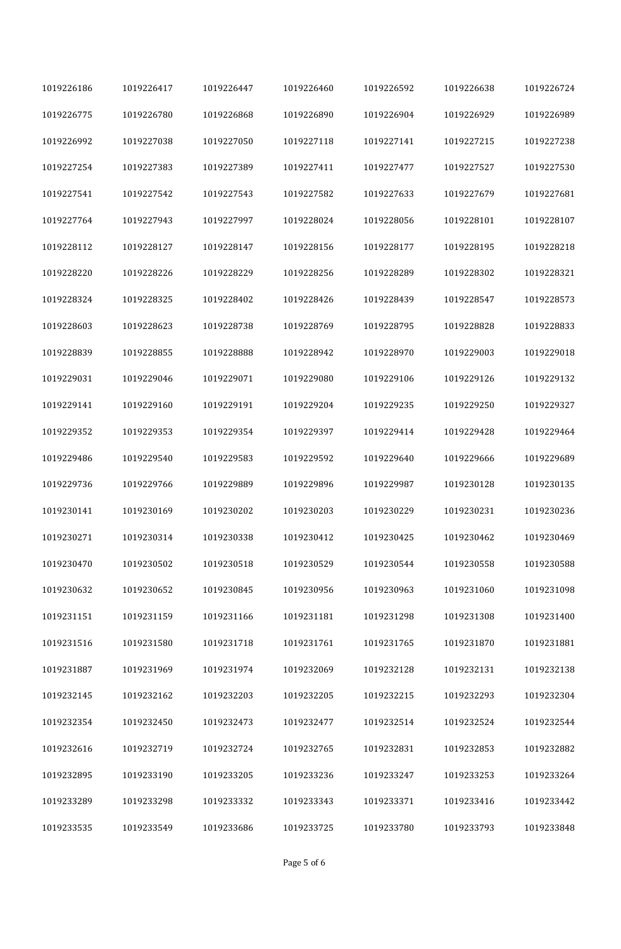| 1019226186 | 1019226417 | 1019226447 | 1019226460 | 1019226592 | 1019226638 | 1019226724 |
|------------|------------|------------|------------|------------|------------|------------|
| 1019226775 | 1019226780 | 1019226868 | 1019226890 | 1019226904 | 1019226929 | 1019226989 |
| 1019226992 | 1019227038 | 1019227050 | 1019227118 | 1019227141 | 1019227215 | 1019227238 |
| 1019227254 | 1019227383 | 1019227389 | 1019227411 | 1019227477 | 1019227527 | 1019227530 |
| 1019227541 | 1019227542 | 1019227543 | 1019227582 | 1019227633 | 1019227679 | 1019227681 |
| 1019227764 | 1019227943 | 1019227997 | 1019228024 | 1019228056 | 1019228101 | 1019228107 |
| 1019228112 | 1019228127 | 1019228147 | 1019228156 | 1019228177 | 1019228195 | 1019228218 |
| 1019228220 | 1019228226 | 1019228229 | 1019228256 | 1019228289 | 1019228302 | 1019228321 |
| 1019228324 | 1019228325 | 1019228402 | 1019228426 | 1019228439 | 1019228547 | 1019228573 |
| 1019228603 | 1019228623 | 1019228738 | 1019228769 | 1019228795 | 1019228828 | 1019228833 |
| 1019228839 | 1019228855 | 1019228888 | 1019228942 | 1019228970 | 1019229003 | 1019229018 |
| 1019229031 | 1019229046 | 1019229071 | 1019229080 | 1019229106 | 1019229126 | 1019229132 |
| 1019229141 | 1019229160 | 1019229191 | 1019229204 | 1019229235 | 1019229250 | 1019229327 |
| 1019229352 | 1019229353 | 1019229354 | 1019229397 | 1019229414 | 1019229428 | 1019229464 |
| 1019229486 | 1019229540 | 1019229583 | 1019229592 | 1019229640 | 1019229666 | 1019229689 |
| 1019229736 | 1019229766 | 1019229889 | 1019229896 | 1019229987 | 1019230128 | 1019230135 |
| 1019230141 | 1019230169 | 1019230202 | 1019230203 | 1019230229 | 1019230231 | 1019230236 |
| 1019230271 | 1019230314 | 1019230338 | 1019230412 | 1019230425 | 1019230462 | 1019230469 |
| 1019230470 | 1019230502 | 1019230518 | 1019230529 | 1019230544 | 1019230558 | 1019230588 |
| 1019230632 | 1019230652 | 1019230845 | 1019230956 | 1019230963 | 1019231060 | 1019231098 |
| 1019231151 | 1019231159 | 1019231166 | 1019231181 | 1019231298 | 1019231308 | 1019231400 |
| 1019231516 | 1019231580 | 1019231718 | 1019231761 | 1019231765 | 1019231870 | 1019231881 |
| 1019231887 | 1019231969 | 1019231974 | 1019232069 | 1019232128 | 1019232131 | 1019232138 |
| 1019232145 | 1019232162 | 1019232203 | 1019232205 | 1019232215 | 1019232293 | 1019232304 |
| 1019232354 | 1019232450 | 1019232473 | 1019232477 | 1019232514 | 1019232524 | 1019232544 |
| 1019232616 | 1019232719 | 1019232724 | 1019232765 | 1019232831 | 1019232853 | 1019232882 |
| 1019232895 | 1019233190 | 1019233205 | 1019233236 | 1019233247 | 1019233253 | 1019233264 |
| 1019233289 | 1019233298 | 1019233332 | 1019233343 | 1019233371 | 1019233416 | 1019233442 |
| 1019233535 | 1019233549 | 1019233686 | 1019233725 | 1019233780 | 1019233793 | 1019233848 |